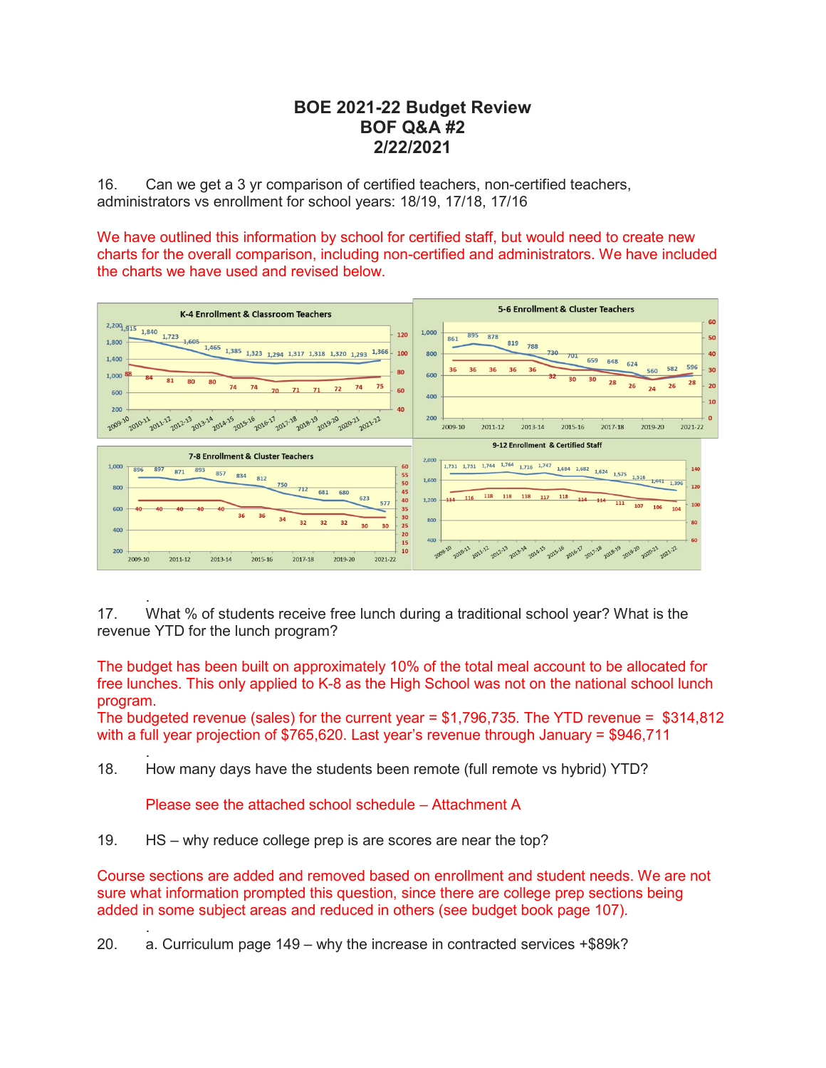## **BOE 2021-22 Budget Review BOF Q&A #2 2/22/2021**

16. Can we get a 3 yr comparison of certified teachers, non-certified teachers, administrators vs enrollment for school years: 18/19, 17/18, 17/16

We have outlined this information by school for certified staff, but would need to create new charts for the overall comparison, including non-certified and administrators. We have included the charts we have used and revised below.



 . 17. What % of students receive free lunch during a traditional school year? What is the revenue YTD for the lunch program?

The budget has been built on approximately 10% of the total meal account to be allocated for free lunches. This only applied to K-8 as the High School was not on the national school lunch program.

The budgeted revenue (sales) for the current year  $= $1,796,735$ . The YTD revenue =  $$314,812$ with a full year projection of \$765,620. Last year's revenue through January = \$946,711

 . 18. How many days have the students been remote (full remote vs hybrid) YTD?

Please see the attached school schedule – Attachment A

19. HS – why reduce college prep is are scores are near the top?

Course sections are added and removed based on enrollment and student needs. We are not sure what information prompted this question, since there are college prep sections being added in some subject areas and reduced in others (see budget book page 107).

 . 20. a. Curriculum page 149 – why the increase in contracted services +\$89k?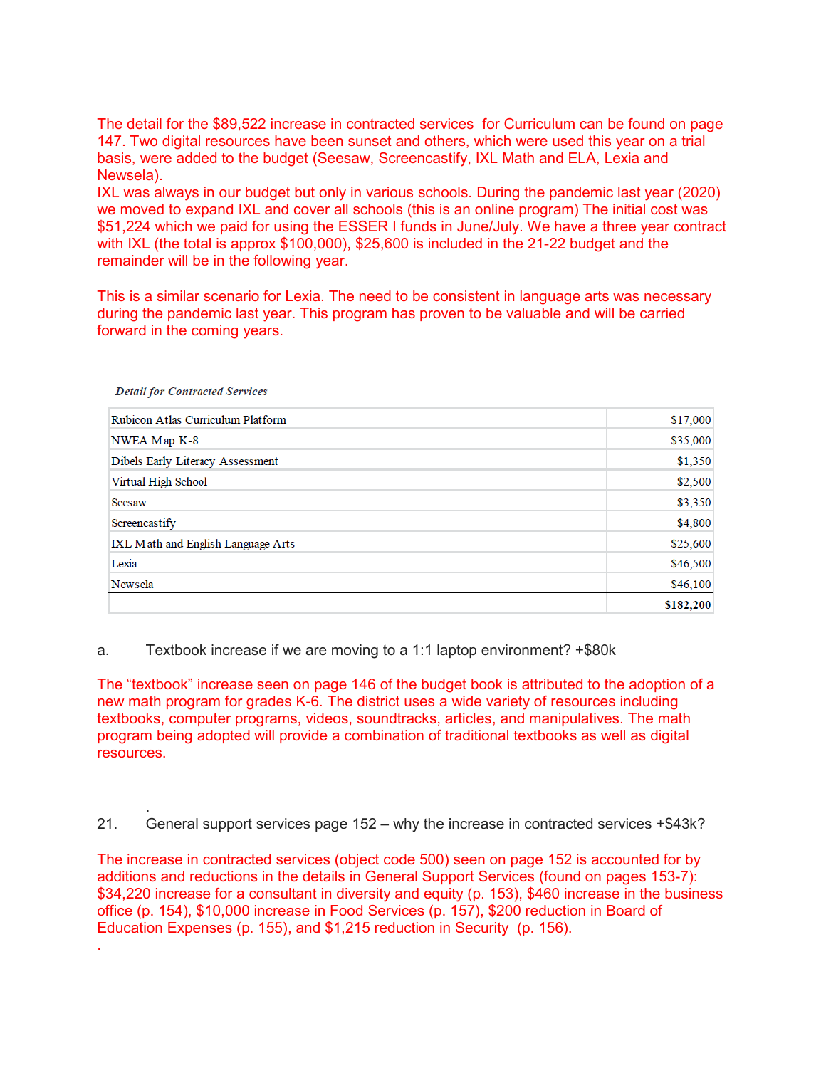The detail for the \$89,522 increase in contracted services for Curriculum can be found on page 147. Two digital resources have been sunset and others, which were used this year on a trial basis, were added to the budget (Seesaw, Screencastify, IXL Math and ELA, Lexia and Newsela).

IXL was always in our budget but only in various schools. During the pandemic last year (2020) we moved to expand IXL and cover all schools (this is an online program) The initial cost was \$51,224 which we paid for using the ESSER I funds in June/July. We have a three year contract with IXL (the total is approx \$100,000), \$25,600 is included in the 21-22 budget and the remainder will be in the following year.

This is a similar scenario for Lexia. The need to be consistent in language arts was necessary during the pandemic last year. This program has proven to be valuable and will be carried forward in the coming years.

| Rubicon Atlas Curriculum Platform  | \$17,000  |
|------------------------------------|-----------|
| NWEA Map K-8                       | \$35,000  |
| Dibels Early Literacy Assessment   | \$1,350   |
| Virtual High School                | \$2,500   |
| Seesaw                             | \$3,350   |
| Screencastify                      | \$4,800   |
| IXL Math and English Language Arts | \$25,600  |
| Lexia                              | \$46,500  |
| Newsela                            | \$46,100  |
|                                    | \$182,200 |

**Detail for Contracted Services** 

.

a. Textbook increase if we are moving to a 1:1 laptop environment? +\$80k

The "textbook" increase seen on page 146 of the budget book is attributed to the adoption of a new math program for grades K-6. The district uses a wide variety of resources including textbooks, computer programs, videos, soundtracks, articles, and manipulatives. The math program being adopted will provide a combination of traditional textbooks as well as digital resources.

 . 21. General support services page 152 – why the increase in contracted services +\$43k?

The increase in contracted services (object code 500) seen on page 152 is accounted for by additions and reductions in the details in General Support Services (found on pages 153-7): \$34,220 increase for a consultant in diversity and equity (p. 153), \$460 increase in the business office (p. 154), \$10,000 increase in Food Services (p. 157), \$200 reduction in Board of Education Expenses (p. 155), and \$1,215 reduction in Security (p. 156).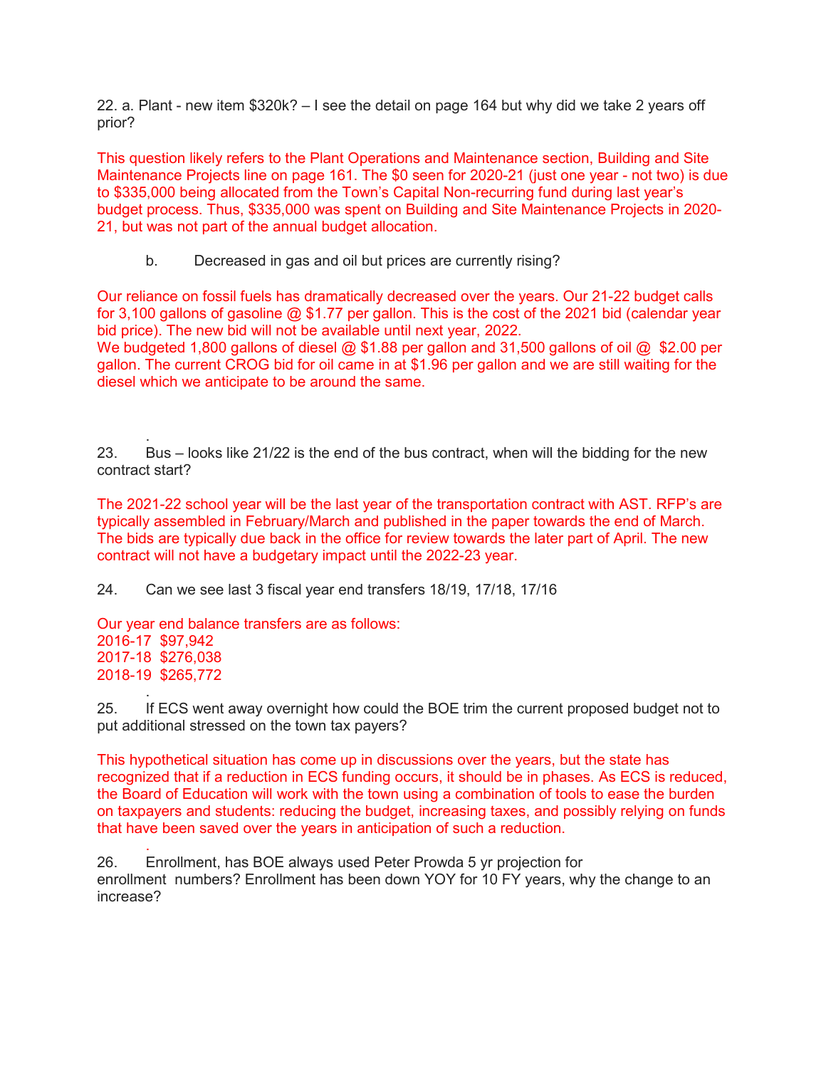22. a. Plant - new item \$320k? – I see the detail on page 164 but why did we take 2 years off prior?

This question likely refers to the Plant Operations and Maintenance section, Building and Site Maintenance Projects line on page 161. The \$0 seen for 2020-21 (just one year - not two) is due to \$335,000 being allocated from the Town's Capital Non-recurring fund during last year's budget process. Thus, \$335,000 was spent on Building and Site Maintenance Projects in 2020- 21, but was not part of the annual budget allocation.

b. Decreased in gas and oil but prices are currently rising?

Our reliance on fossil fuels has dramatically decreased over the years. Our 21-22 budget calls for 3,100 gallons of gasoline  $\omega$  \$1.77 per gallon. This is the cost of the 2021 bid (calendar year bid price). The new bid will not be available until next year, 2022.

We budgeted 1,800 gallons of diesel  $@$  \$1.88 per gallon and 31,500 gallons of oil  $@$  \$2.00 per gallon. The current CROG bid for oil came in at \$1.96 per gallon and we are still waiting for the diesel which we anticipate to be around the same.

 . 23. Bus – looks like 21/22 is the end of the bus contract, when will the bidding for the new contract start?

The 2021-22 school year will be the last year of the transportation contract with AST. RFP's are typically assembled in February/March and published in the paper towards the end of March. The bids are typically due back in the office for review towards the later part of April. The new contract will not have a budgetary impact until the 2022-23 year.

24. Can we see last 3 fiscal year end transfers 18/19, 17/18, 17/16

Our year end balance transfers are as follows: 2016-17 \$97,942 2017-18 \$276,038 2018-19 \$265,772

 . 25. If ECS went away overnight how could the BOE trim the current proposed budget not to put additional stressed on the town tax payers?

This hypothetical situation has come up in discussions over the years, but the state has recognized that if a reduction in ECS funding occurs, it should be in phases. As ECS is reduced, the Board of Education will work with the town using a combination of tools to ease the burden on taxpayers and students: reducing the budget, increasing taxes, and possibly relying on funds that have been saved over the years in anticipation of such a reduction.

 . 26. Enrollment, has BOE always used Peter Prowda 5 yr projection for enrollment numbers? Enrollment has been down YOY for 10 FY years, why the change to an increase?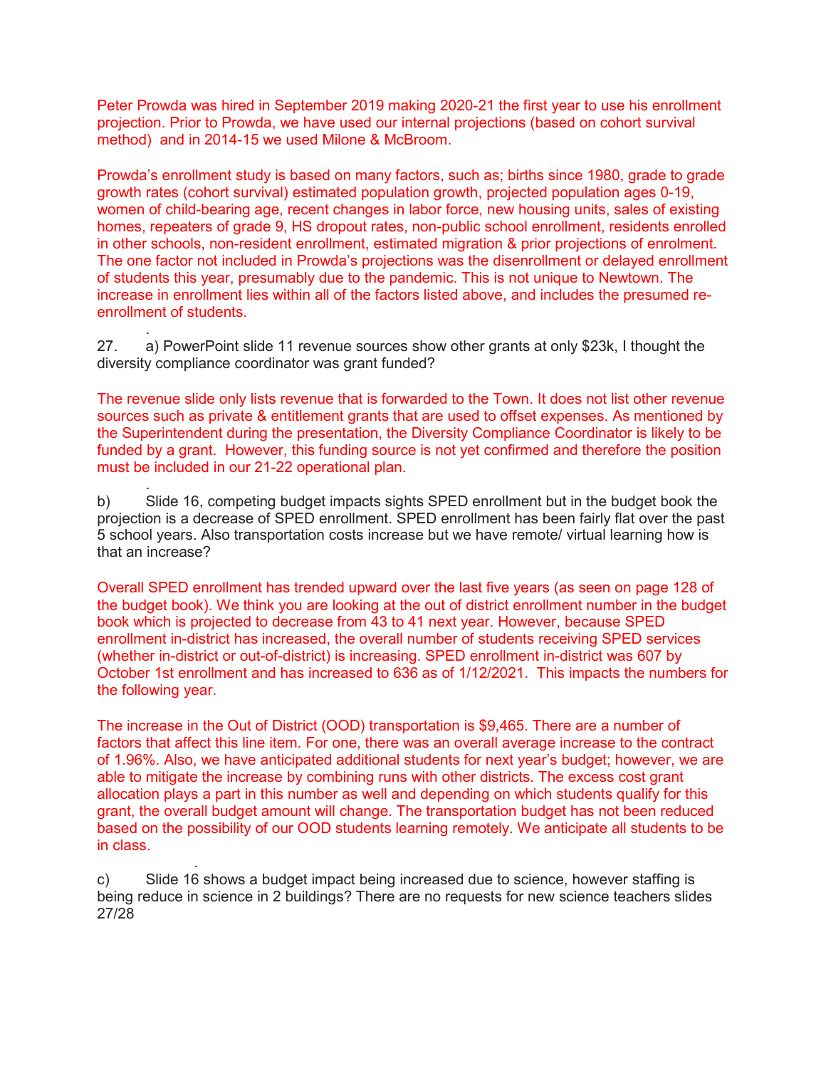Peter Prowda was hired in September 2019 making 2020-21 the first year to use his enrollment projection. Prior to Prowda, we have used our internal projections (based on cohort survival method) and in 2014-15 we used Milone & McBroom.

Prowda's enrollment study is based on many factors, such as; births since 1980, grade to grade growth rates (cohort survival) estimated population growth, projected population ages 0-19, women of child-bearing age, recent changes in labor force, new housing units, sales of existing homes, repeaters of grade 9, HS dropout rates, non-public school enrollment, residents enrolled in other schools, non-resident enrollment, estimated migration & prior projections of enrolment. The one factor not included in Prowda's projections was the disenrollment or delayed enrollment of students this year, presumably due to the pandemic. This is not unique to Newtown. The increase in enrollment lies within all of the factors listed above, and includes the presumed reenrollment of students.

 . 27. a) PowerPoint slide 11 revenue sources show other grants at only \$23k, I thought the diversity compliance coordinator was grant funded?

The revenue slide only lists revenue that is forwarded to the Town. It does not list other revenue sources such as private & entitlement grants that are used to offset expenses. As mentioned by the Superintendent during the presentation, the Diversity Compliance Coordinator is likely to be funded by a grant. However, this funding source is not yet confirmed and therefore the position must be included in our 21-22 operational plan.

 . b) Slide 16, competing budget impacts sights SPED enrollment but in the budget book the projection is a decrease of SPED enrollment. SPED enrollment has been fairly flat over the past 5 school years. Also transportation costs increase but we have remote/ virtual learning how is that an increase?

Overall SPED enrollment has trended upward over the last five years (as seen on page 128 of the budget book). We think you are looking at the out of district enrollment number in the budget book which is projected to decrease from 43 to 41 next year. However, because SPED enrollment in-district has increased, the overall number of students receiving SPED services (whether in-district or out-of-district) is increasing. SPED enrollment in-district was 607 by October 1st enrollment and has increased to 636 as of 1/12/2021. This impacts the numbers for the following year.

The increase in the Out of District (OOD) transportation is \$9,465. There are a number of factors that affect this line item. For one, there was an overall average increase to the contract of 1.96%. Also, we have anticipated additional students for next year's budget; however, we are able to mitigate the increase by combining runs with other districts. The excess cost grant allocation plays a part in this number as well and depending on which students qualify for this grant, the overall budget amount will change. The transportation budget has not been reduced based on the possibility of our OOD students learning remotely. We anticipate all students to be in class.

 . c) Slide 16 shows a budget impact being increased due to science, however staffing is being reduce in science in 2 buildings? There are no requests for new science teachers slides 27/28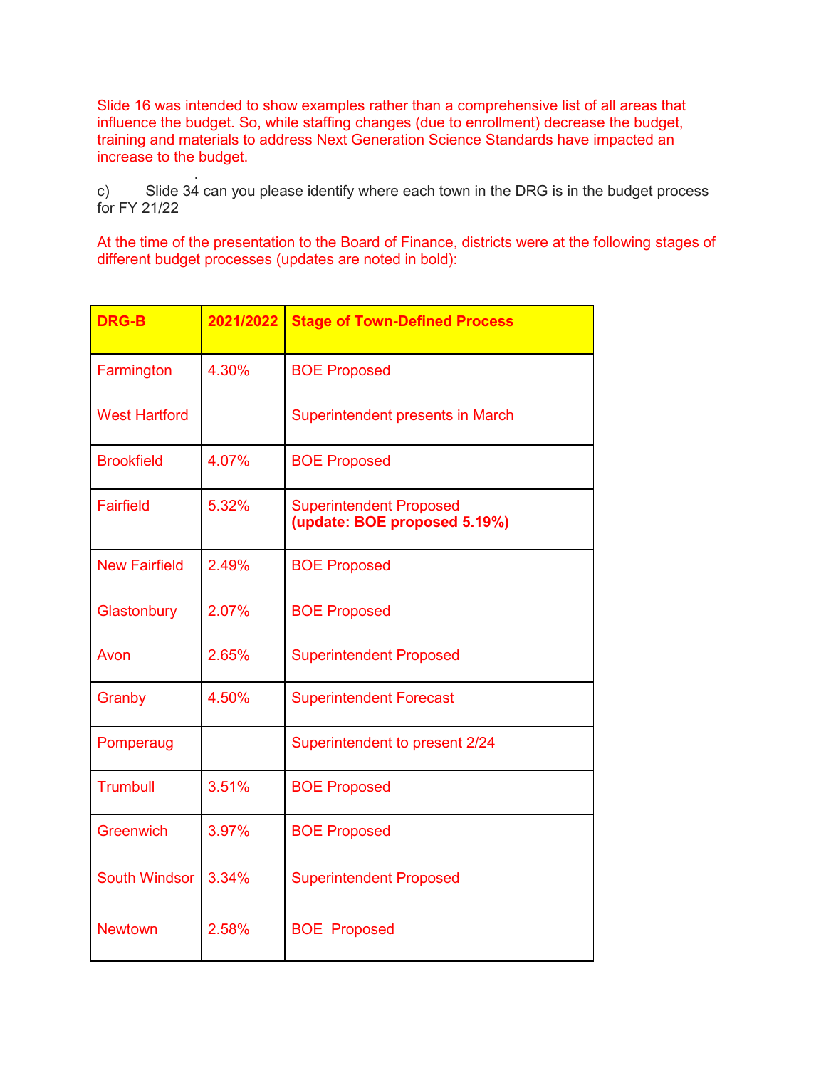Slide 16 was intended to show examples rather than a comprehensive list of all areas that influence the budget. So, while staffing changes (due to enrollment) decrease the budget, training and materials to address Next Generation Science Standards have impacted an increase to the budget.

 . c) Slide 34 can you please identify where each town in the DRG is in the budget process for FY 21/22

At the time of the presentation to the Board of Finance, districts were at the following stages of different budget processes (updates are noted in bold):

| <b>DRG-B</b>         | 2021/2022 | <b>Stage of Town-Defined Process</b>                           |
|----------------------|-----------|----------------------------------------------------------------|
| Farmington           | 4.30%     | <b>BOE Proposed</b>                                            |
| <b>West Hartford</b> |           | <b>Superintendent presents in March</b>                        |
| <b>Brookfield</b>    | 4.07%     | <b>BOE Proposed</b>                                            |
| <b>Fairfield</b>     | 5.32%     | <b>Superintendent Proposed</b><br>(update: BOE proposed 5.19%) |
| <b>New Fairfield</b> | 2.49%     | <b>BOE Proposed</b>                                            |
| Glastonbury          | 2.07%     | <b>BOE Proposed</b>                                            |
| Avon                 | 2.65%     | <b>Superintendent Proposed</b>                                 |
| Granby               | 4.50%     | <b>Superintendent Forecast</b>                                 |
| Pomperaug            |           | Superintendent to present 2/24                                 |
| <b>Trumbull</b>      | 3.51%     | <b>BOE Proposed</b>                                            |
| <b>Greenwich</b>     | 3.97%     | <b>BOE Proposed</b>                                            |
| <b>South Windsor</b> | 3.34%     | <b>Superintendent Proposed</b>                                 |
| <b>Newtown</b>       | 2.58%     | <b>BOE Proposed</b>                                            |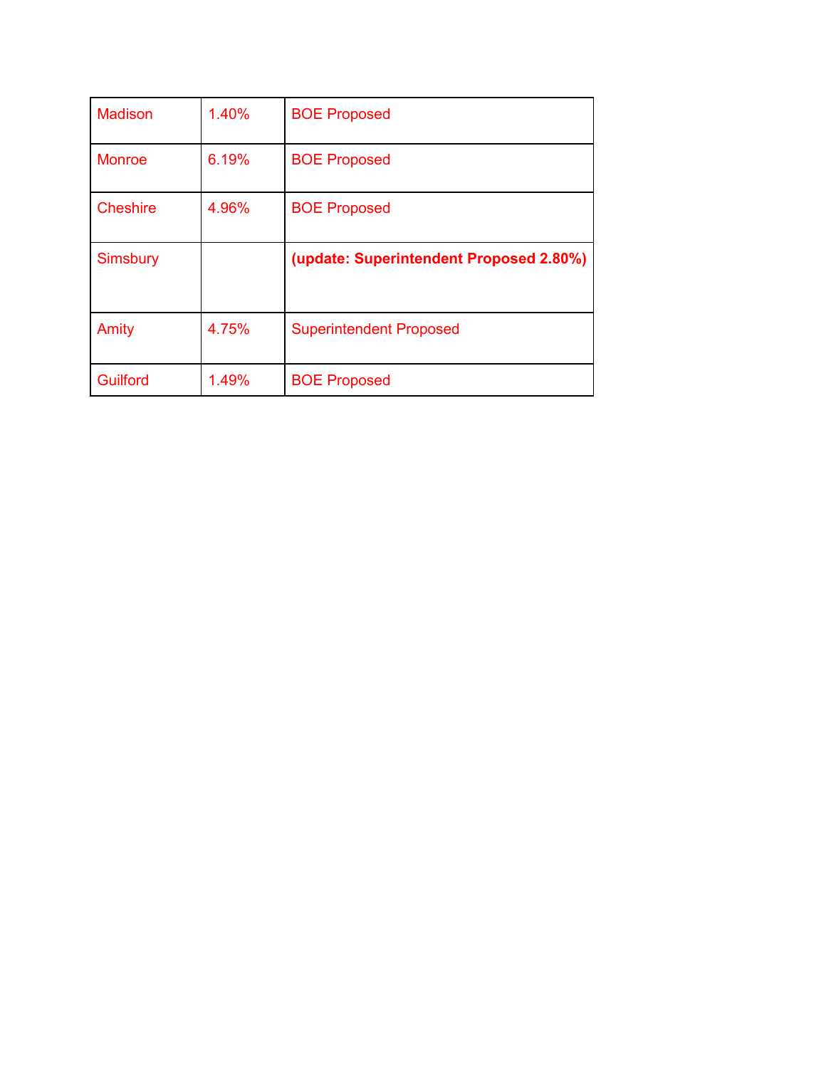| <b>Madison</b>  | 1.40% | <b>BOE Proposed</b>                     |
|-----------------|-------|-----------------------------------------|
| <b>Monroe</b>   | 6.19% | <b>BOE Proposed</b>                     |
| <b>Cheshire</b> | 4.96% | <b>BOE Proposed</b>                     |
|                 |       |                                         |
| <b>Simsbury</b> |       | (update: Superintendent Proposed 2.80%) |
| Amity           | 4.75% | <b>Superintendent Proposed</b>          |